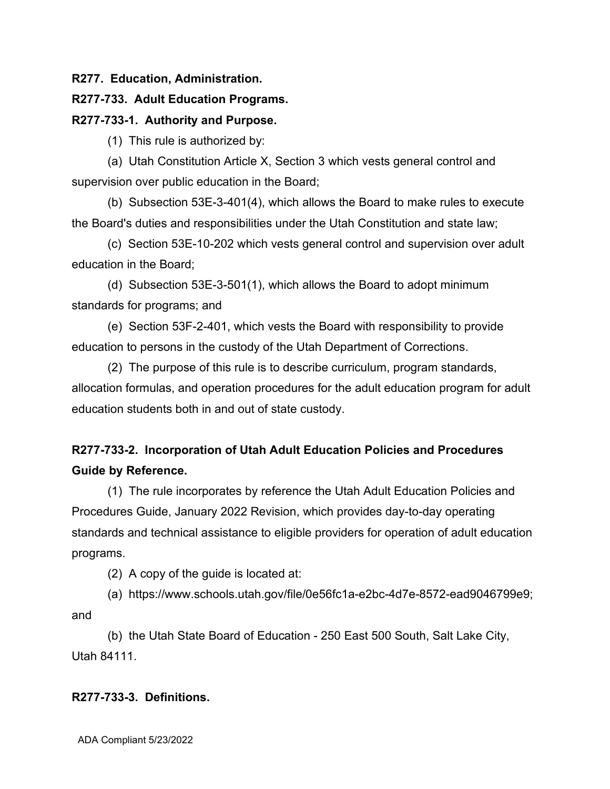**R277. Education, Administration.**

## **R277-733. Adult Education Programs.**

## **R277-733-1. Authority and Purpose.**

(1) This rule is authorized by:

(a) Utah Constitution Article X, Section 3 which vests general control and supervision over public education in the Board;

(b) Subsection 53E-3-401(4), which allows the Board to make rules to execute the Board's duties and responsibilities under the Utah Constitution and state law;

(c) Section 53E-10-202 which vests general control and supervision over adult education in the Board;

(d) Subsection 53E-3-501(1), which allows the Board to adopt minimum standards for programs; and

(e) Section 53F-2-401, which vests the Board with responsibility to provide education to persons in the custody of the Utah Department of Corrections.

(2) The purpose of this rule is to describe curriculum, program standards, allocation formulas, and operation procedures for the adult education program for adult education students both in and out of state custody.

# **R277-733-2. Incorporation of Utah Adult Education Policies and Procedures Guide by Reference.**

(1) The rule incorporates by reference the Utah Adult Education Policies and Procedures Guide, January 2022 Revision, which provides day-to-day operating standards and technical assistance to eligible providers for operation of adult education programs.

(2) A copy of the guide is located at:

(a) https://www.schools.utah.gov/file/0e56fc1a-e2bc-4d7e-8572-ead9046799e9; and

(b) the Utah State Board of Education - 250 East 500 South, Salt Lake City, Utah 84111.

## **R277-733-3. Definitions.**

ADA Compliant 5/23/2022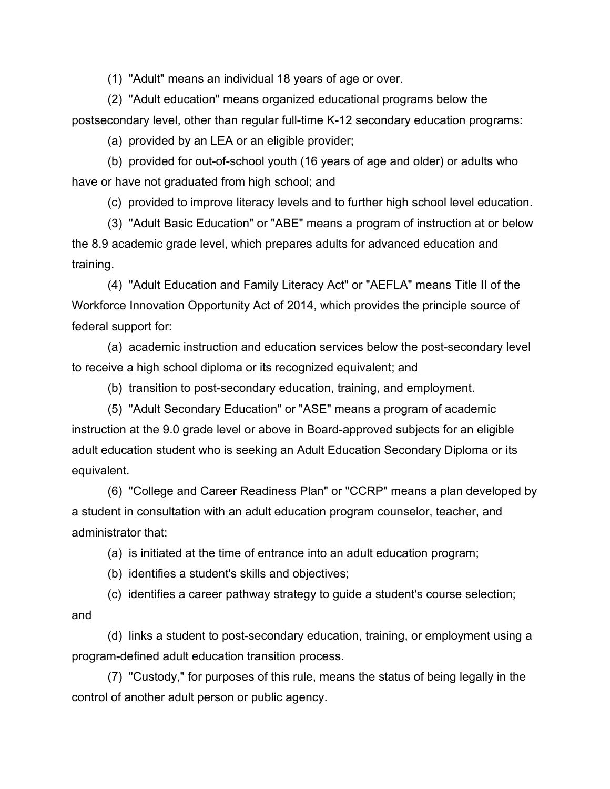(1) "Adult" means an individual 18 years of age or over.

(2) "Adult education" means organized educational programs below the postsecondary level, other than regular full-time K-12 secondary education programs:

(a) provided by an LEA or an eligible provider;

(b) provided for out-of-school youth (16 years of age and older) or adults who have or have not graduated from high school; and

(c) provided to improve literacy levels and to further high school level education.

(3) "Adult Basic Education" or "ABE" means a program of instruction at or below the 8.9 academic grade level, which prepares adults for advanced education and training.

(4) "Adult Education and Family Literacy Act" or "AEFLA" means Title II of the Workforce Innovation Opportunity Act of 2014, which provides the principle source of federal support for:

(a) academic instruction and education services below the post-secondary level to receive a high school diploma or its recognized equivalent; and

(b) transition to post-secondary education, training, and employment.

(5) "Adult Secondary Education" or "ASE" means a program of academic instruction at the 9.0 grade level or above in Board-approved subjects for an eligible adult education student who is seeking an Adult Education Secondary Diploma or its equivalent.

(6) "College and Career Readiness Plan" or "CCRP" means a plan developed by a student in consultation with an adult education program counselor, teacher, and administrator that:

(a) is initiated at the time of entrance into an adult education program;

(b) identifies a student's skills and objectives;

(c) identifies a career pathway strategy to guide a student's course selection; and

(d) links a student to post-secondary education, training, or employment using a program-defined adult education transition process.

(7) "Custody," for purposes of this rule, means the status of being legally in the control of another adult person or public agency.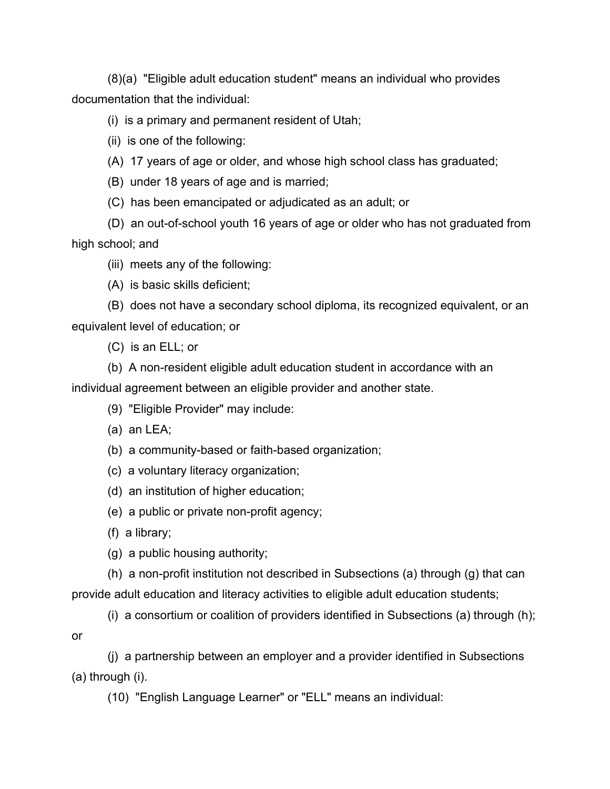(8)(a) "Eligible adult education student" means an individual who provides documentation that the individual:

# (i) is a primary and permanent resident of Utah;

(ii) is one of the following:

- (A) 17 years of age or older, and whose high school class has graduated;
- (B) under 18 years of age and is married;
- (C) has been emancipated or adjudicated as an adult; or

(D) an out-of-school youth 16 years of age or older who has not graduated from high school; and

- (iii) meets any of the following:
- (A) is basic skills deficient;

(B) does not have a secondary school diploma, its recognized equivalent, or an equivalent level of education; or

(C) is an ELL; or

(b) A non-resident eligible adult education student in accordance with an individual agreement between an eligible provider and another state.

(9) "Eligible Provider" may include:

(a) an LEA;

- (b) a community-based or faith-based organization;
- (c) a voluntary literacy organization;
- (d) an institution of higher education;
- (e) a public or private non-profit agency;
- (f) a library;

or

(g) a public housing authority;

(h) a non-profit institution not described in Subsections (a) through (g) that can provide adult education and literacy activities to eligible adult education students;

(i) a consortium or coalition of providers identified in Subsections (a) through (h);

(j) a partnership between an employer and a provider identified in Subsections (a) through (i).

(10) "English Language Learner" or "ELL" means an individual: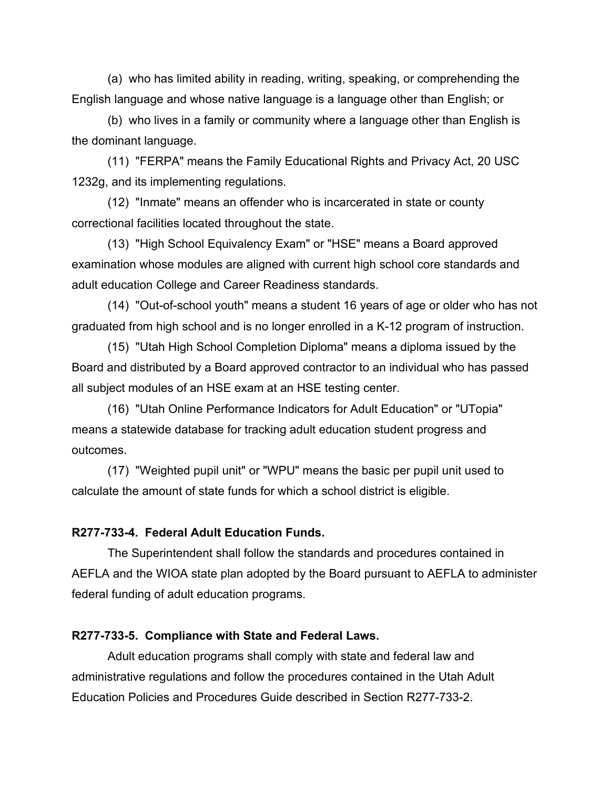(a) who has limited ability in reading, writing, speaking, or comprehending the English language and whose native language is a language other than English; or

(b) who lives in a family or community where a language other than English is the dominant language.

(11) "FERPA" means the Family Educational Rights and Privacy Act, 20 USC 1232g, and its implementing regulations.

(12) "Inmate" means an offender who is incarcerated in state or county correctional facilities located throughout the state.

(13) "High School Equivalency Exam" or "HSE" means a Board approved examination whose modules are aligned with current high school core standards and adult education College and Career Readiness standards.

(14) "Out-of-school youth" means a student 16 years of age or older who has not graduated from high school and is no longer enrolled in a K-12 program of instruction.

(15) "Utah High School Completion Diploma" means a diploma issued by the Board and distributed by a Board approved contractor to an individual who has passed all subject modules of an HSE exam at an HSE testing center.

(16) "Utah Online Performance Indicators for Adult Education" or "UTopia" means a statewide database for tracking adult education student progress and outcomes.

(17) "Weighted pupil unit" or "WPU" means the basic per pupil unit used to calculate the amount of state funds for which a school district is eligible.

#### **R277-733-4. Federal Adult Education Funds.**

The Superintendent shall follow the standards and procedures contained in AEFLA and the WIOA state plan adopted by the Board pursuant to AEFLA to administer federal funding of adult education programs.

#### **R277-733-5. Compliance with State and Federal Laws.**

Adult education programs shall comply with state and federal law and administrative regulations and follow the procedures contained in the Utah Adult Education Policies and Procedures Guide described in Section R277-733-2.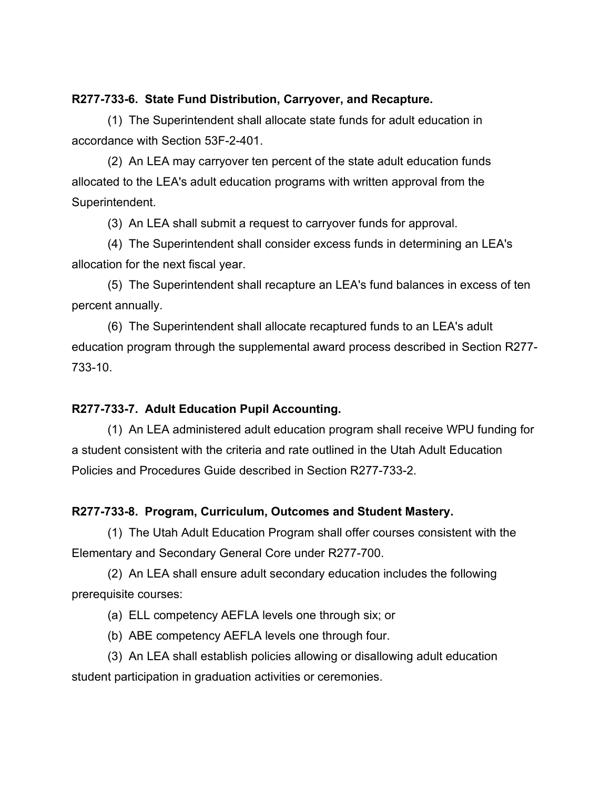#### **R277-733-6. State Fund Distribution, Carryover, and Recapture.**

(1) The Superintendent shall allocate state funds for adult education in accordance with Section 53F-2-401.

(2) An LEA may carryover ten percent of the state adult education funds allocated to the LEA's adult education programs with written approval from the Superintendent.

(3) An LEA shall submit a request to carryover funds for approval.

(4) The Superintendent shall consider excess funds in determining an LEA's allocation for the next fiscal year.

(5) The Superintendent shall recapture an LEA's fund balances in excess of ten percent annually.

(6) The Superintendent shall allocate recaptured funds to an LEA's adult education program through the supplemental award process described in Section R277- 733-10.

## **R277-733-7. Adult Education Pupil Accounting.**

(1) An LEA administered adult education program shall receive WPU funding for a student consistent with the criteria and rate outlined in the Utah Adult Education Policies and Procedures Guide described in Section R277-733-2.

## **R277-733-8. Program, Curriculum, Outcomes and Student Mastery.**

(1) The Utah Adult Education Program shall offer courses consistent with the Elementary and Secondary General Core under R277-700.

(2) An LEA shall ensure adult secondary education includes the following prerequisite courses:

(a) ELL competency AEFLA levels one through six; or

(b) ABE competency AEFLA levels one through four.

(3) An LEA shall establish policies allowing or disallowing adult education student participation in graduation activities or ceremonies.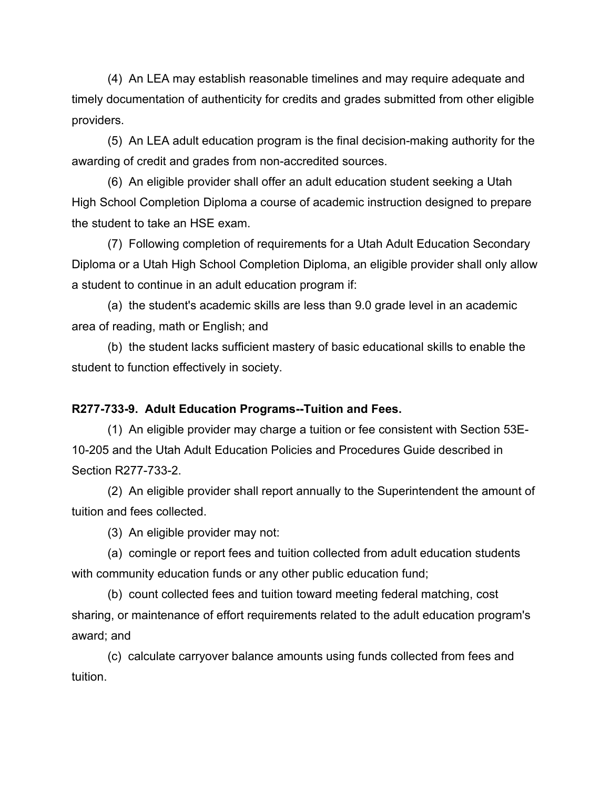(4) An LEA may establish reasonable timelines and may require adequate and timely documentation of authenticity for credits and grades submitted from other eligible providers.

(5) An LEA adult education program is the final decision-making authority for the awarding of credit and grades from non-accredited sources.

(6) An eligible provider shall offer an adult education student seeking a Utah High School Completion Diploma a course of academic instruction designed to prepare the student to take an HSE exam.

(7) Following completion of requirements for a Utah Adult Education Secondary Diploma or a Utah High School Completion Diploma, an eligible provider shall only allow a student to continue in an adult education program if:

(a) the student's academic skills are less than 9.0 grade level in an academic area of reading, math or English; and

(b) the student lacks sufficient mastery of basic educational skills to enable the student to function effectively in society.

#### **R277-733-9. Adult Education Programs--Tuition and Fees.**

(1) An eligible provider may charge a tuition or fee consistent with Section 53E-10-205 and the Utah Adult Education Policies and Procedures Guide described in Section R277-733-2.

(2) An eligible provider shall report annually to the Superintendent the amount of tuition and fees collected.

(3) An eligible provider may not:

(a) comingle or report fees and tuition collected from adult education students with community education funds or any other public education fund;

(b) count collected fees and tuition toward meeting federal matching, cost sharing, or maintenance of effort requirements related to the adult education program's award; and

(c) calculate carryover balance amounts using funds collected from fees and tuition.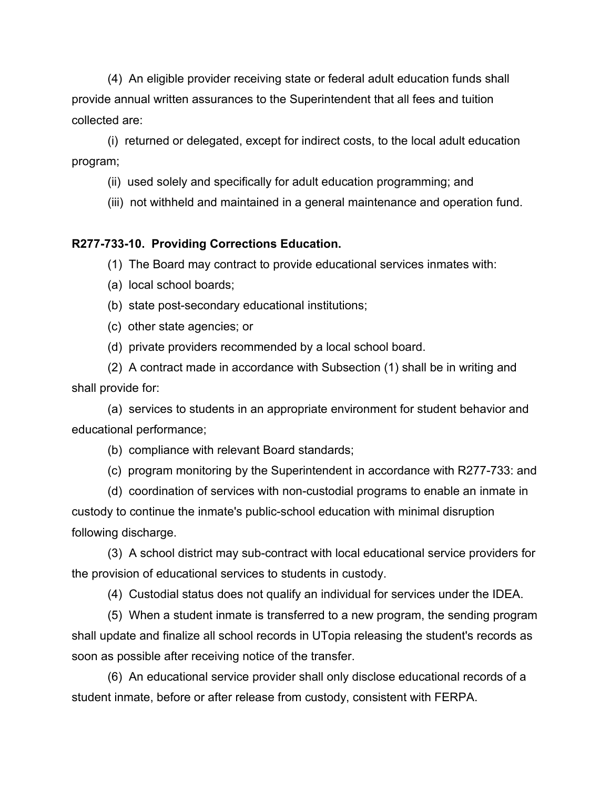(4) An eligible provider receiving state or federal adult education funds shall provide annual written assurances to the Superintendent that all fees and tuition collected are:

(i) returned or delegated, except for indirect costs, to the local adult education program;

(ii) used solely and specifically for adult education programming; and

(iii) not withheld and maintained in a general maintenance and operation fund.

#### **R277-733-10. Providing Corrections Education.**

(1) The Board may contract to provide educational services inmates with:

(a) local school boards;

(b) state post-secondary educational institutions;

(c) other state agencies; or

(d) private providers recommended by a local school board.

(2) A contract made in accordance with Subsection (1) shall be in writing and shall provide for:

(a) services to students in an appropriate environment for student behavior and educational performance;

(b) compliance with relevant Board standards;

(c) program monitoring by the Superintendent in accordance with R277-733: and

(d) coordination of services with non-custodial programs to enable an inmate in custody to continue the inmate's public-school education with minimal disruption following discharge.

(3) A school district may sub-contract with local educational service providers for the provision of educational services to students in custody.

(4) Custodial status does not qualify an individual for services under the IDEA.

(5) When a student inmate is transferred to a new program, the sending program shall update and finalize all school records in UTopia releasing the student's records as soon as possible after receiving notice of the transfer.

(6) An educational service provider shall only disclose educational records of a student inmate, before or after release from custody, consistent with FERPA.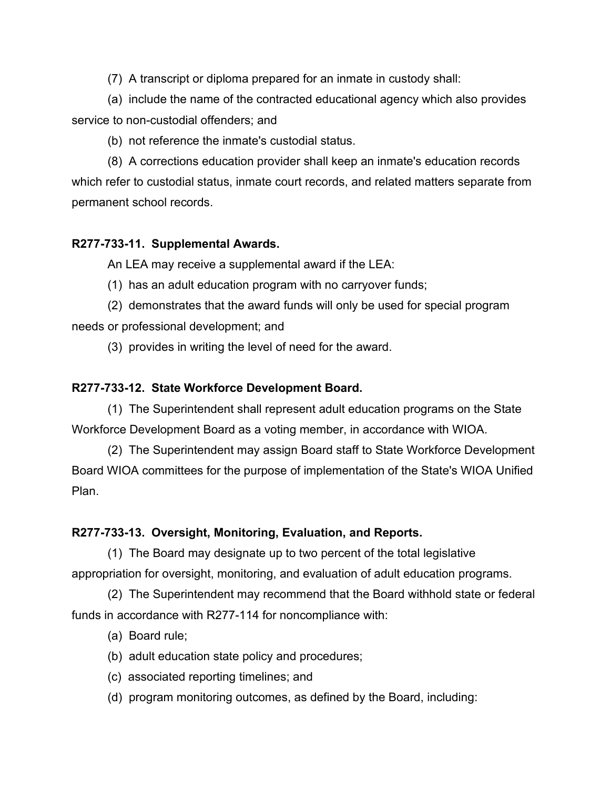(7) A transcript or diploma prepared for an inmate in custody shall:

(a) include the name of the contracted educational agency which also provides service to non-custodial offenders; and

(b) not reference the inmate's custodial status.

(8) A corrections education provider shall keep an inmate's education records which refer to custodial status, inmate court records, and related matters separate from permanent school records.

# **R277-733-11. Supplemental Awards.**

An LEA may receive a supplemental award if the LEA:

(1) has an adult education program with no carryover funds;

(2) demonstrates that the award funds will only be used for special program needs or professional development; and

(3) provides in writing the level of need for the award.

# **R277-733-12. State Workforce Development Board.**

(1) The Superintendent shall represent adult education programs on the State Workforce Development Board as a voting member, in accordance with WIOA.

(2) The Superintendent may assign Board staff to State Workforce Development Board WIOA committees for the purpose of implementation of the State's WIOA Unified Plan.

# **R277-733-13. Oversight, Monitoring, Evaluation, and Reports.**

(1) The Board may designate up to two percent of the total legislative appropriation for oversight, monitoring, and evaluation of adult education programs.

(2) The Superintendent may recommend that the Board withhold state or federal funds in accordance with R277-114 for noncompliance with:

- (a) Board rule;
- (b) adult education state policy and procedures;
- (c) associated reporting timelines; and
- (d) program monitoring outcomes, as defined by the Board, including: